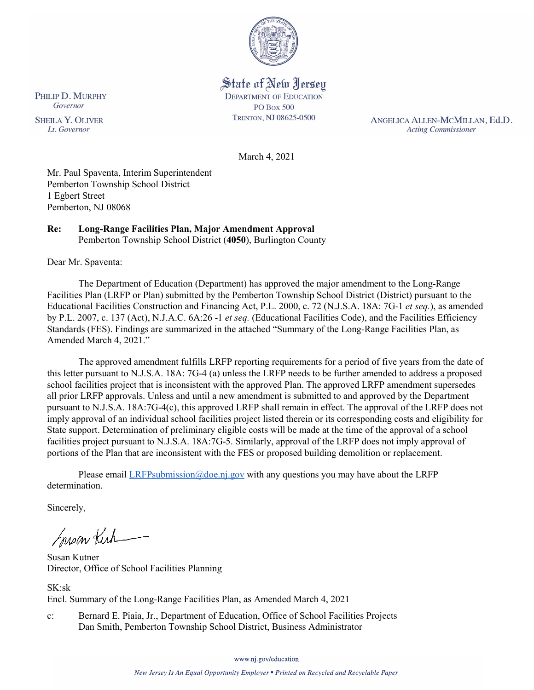

State of New Jersey **DEPARTMENT OF EDUCATION PO Box 500** TRENTON, NJ 08625-0500

ANGELICA ALLEN-MCMILLAN, Ed.D. **Acting Commissioner** 

March 4, 2021

Mr. Paul Spaventa, Interim Superintendent Pemberton Township School District 1 Egbert Street Pemberton, NJ 08068

#### **Re: Long-Range Facilities Plan, Major Amendment Approval**  Pemberton Township School District (**4050**), Burlington County

Dear Mr. Spaventa:

The Department of Education (Department) has approved the major amendment to the Long-Range Facilities Plan (LRFP or Plan) submitted by the Pemberton Township School District (District) pursuant to the Educational Facilities Construction and Financing Act, P.L. 2000, c. 72 (N.J.S.A. 18A: 7G-1 *et seq.*), as amended by P.L. 2007, c. 137 (Act), N.J.A.C. 6A:26 -1 *et seq.* (Educational Facilities Code), and the Facilities Efficiency Standards (FES). Findings are summarized in the attached "Summary of the Long-Range Facilities Plan, as Amended March 4, 2021."

The approved amendment fulfills LRFP reporting requirements for a period of five years from the date of this letter pursuant to N.J.S.A. 18A: 7G-4 (a) unless the LRFP needs to be further amended to address a proposed school facilities project that is inconsistent with the approved Plan. The approved LRFP amendment supersedes all prior LRFP approvals. Unless and until a new amendment is submitted to and approved by the Department pursuant to N.J.S.A. 18A:7G-4(c), this approved LRFP shall remain in effect. The approval of the LRFP does not imply approval of an individual school facilities project listed therein or its corresponding costs and eligibility for State support. Determination of preliminary eligible costs will be made at the time of the approval of a school facilities project pursuant to N.J.S.A. 18A:7G-5. Similarly, approval of the LRFP does not imply approval of portions of the Plan that are inconsistent with the FES or proposed building demolition or replacement.

Please email *LRFPsubmission@doe.nj.gov* with any questions you may have about the LRFP determination.

Sincerely,

Susan Kich

Susan Kutner Director, Office of School Facilities Planning

SK:sk Encl. Summary of the Long-Range Facilities Plan, as Amended March 4, 2021

c: Bernard E. Piaia, Jr., Department of Education, Office of School Facilities Projects Dan Smith, Pemberton Township School District, Business Administrator

PHILIP D. MURPHY Governor

**SHEILA Y. OLIVER** Lt. Governor

www.nj.gov/education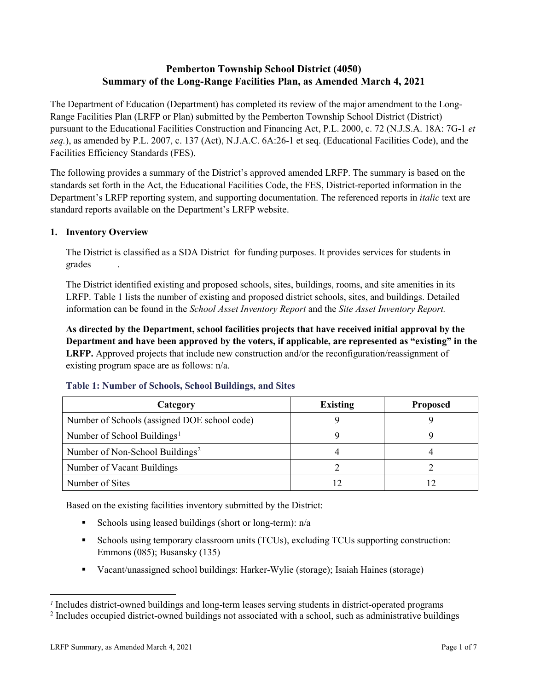# **Pemberton Township School District (4050) Summary of the Long-Range Facilities Plan, as Amended March 4, 2021**

The Department of Education (Department) has completed its review of the major amendment to the Long-Range Facilities Plan (LRFP or Plan) submitted by the Pemberton Township School District (District) pursuant to the Educational Facilities Construction and Financing Act, P.L. 2000, c. 72 (N.J.S.A. 18A: 7G-1 *et seq.*), as amended by P.L. 2007, c. 137 (Act), N.J.A.C. 6A:26-1 et seq. (Educational Facilities Code), and the Facilities Efficiency Standards (FES).

The following provides a summary of the District's approved amended LRFP. The summary is based on the standards set forth in the Act, the Educational Facilities Code, the FES, District-reported information in the Department's LRFP reporting system, and supporting documentation. The referenced reports in *italic* text are standard reports available on the Department's LRFP website.

# **1. Inventory Overview**

The District is classified as a SDA District for funding purposes. It provides services for students in grades .

The District identified existing and proposed schools, sites, buildings, rooms, and site amenities in its LRFP. Table 1 lists the number of existing and proposed district schools, sites, and buildings. Detailed information can be found in the *School Asset Inventory Report* and the *Site Asset Inventory Report.*

**As directed by the Department, school facilities projects that have received initial approval by the Department and have been approved by the voters, if applicable, are represented as "existing" in the LRFP.** Approved projects that include new construction and/or the reconfiguration/reassignment of existing program space are as follows: n/a.

| Category                                     | <b>Existing</b> | <b>Proposed</b> |  |
|----------------------------------------------|-----------------|-----------------|--|
| Number of Schools (assigned DOE school code) |                 |                 |  |
| Number of School Buildings <sup>1</sup>      |                 |                 |  |
| Number of Non-School Buildings <sup>2</sup>  |                 |                 |  |
| Number of Vacant Buildings                   |                 |                 |  |
| Number of Sites                              |                 |                 |  |

#### **Table 1: Number of Schools, School Buildings, and Sites**

Based on the existing facilities inventory submitted by the District:

- Schools using leased buildings (short or long-term):  $n/a$
- Schools using temporary classroom units (TCUs), excluding TCUs supporting construction: Emmons (085); Busansky (135)
- Vacant/unassigned school buildings: Harker-Wylie (storage); Isaiah Haines (storage)

 $\overline{a}$ 

<span id="page-1-0"></span>*<sup>1</sup>* Includes district-owned buildings and long-term leases serving students in district-operated programs

<span id="page-1-1"></span><sup>&</sup>lt;sup>2</sup> Includes occupied district-owned buildings not associated with a school, such as administrative buildings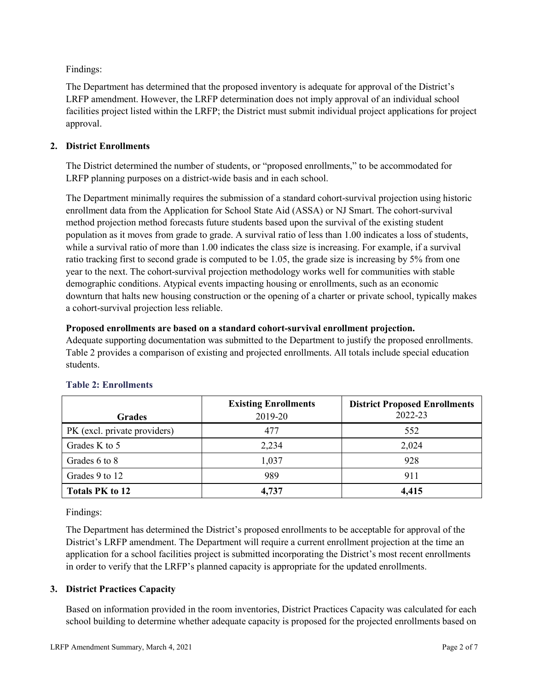Findings:

The Department has determined that the proposed inventory is adequate for approval of the District's LRFP amendment. However, the LRFP determination does not imply approval of an individual school facilities project listed within the LRFP; the District must submit individual project applications for project approval.

# **2. District Enrollments**

The District determined the number of students, or "proposed enrollments," to be accommodated for LRFP planning purposes on a district-wide basis and in each school.

The Department minimally requires the submission of a standard cohort-survival projection using historic enrollment data from the Application for School State Aid (ASSA) or NJ Smart. The cohort-survival method projection method forecasts future students based upon the survival of the existing student population as it moves from grade to grade. A survival ratio of less than 1.00 indicates a loss of students, while a survival ratio of more than 1.00 indicates the class size is increasing. For example, if a survival ratio tracking first to second grade is computed to be 1.05, the grade size is increasing by 5% from one year to the next. The cohort-survival projection methodology works well for communities with stable demographic conditions. Atypical events impacting housing or enrollments, such as an economic downturn that halts new housing construction or the opening of a charter or private school, typically makes a cohort-survival projection less reliable.

#### **Proposed enrollments are based on a standard cohort-survival enrollment projection.**

Adequate supporting documentation was submitted to the Department to justify the proposed enrollments. Table 2 provides a comparison of existing and projected enrollments. All totals include special education students.

|                              | <b>Existing Enrollments</b> | <b>District Proposed Enrollments</b> |
|------------------------------|-----------------------------|--------------------------------------|
| <b>Grades</b>                | 2019-20                     | 2022-23                              |
| PK (excl. private providers) | 477                         | 552                                  |
| Grades K to 5                | 2,234                       | 2,024                                |
| Grades 6 to 8                | 1,037                       | 928                                  |
| Grades 9 to 12               | 989                         | 911                                  |
| <b>Totals PK to 12</b>       | 4,737                       | 4,415                                |

# **Table 2: Enrollments**

Findings:

The Department has determined the District's proposed enrollments to be acceptable for approval of the District's LRFP amendment. The Department will require a current enrollment projection at the time an application for a school facilities project is submitted incorporating the District's most recent enrollments in order to verify that the LRFP's planned capacity is appropriate for the updated enrollments.

# **3. District Practices Capacity**

Based on information provided in the room inventories, District Practices Capacity was calculated for each school building to determine whether adequate capacity is proposed for the projected enrollments based on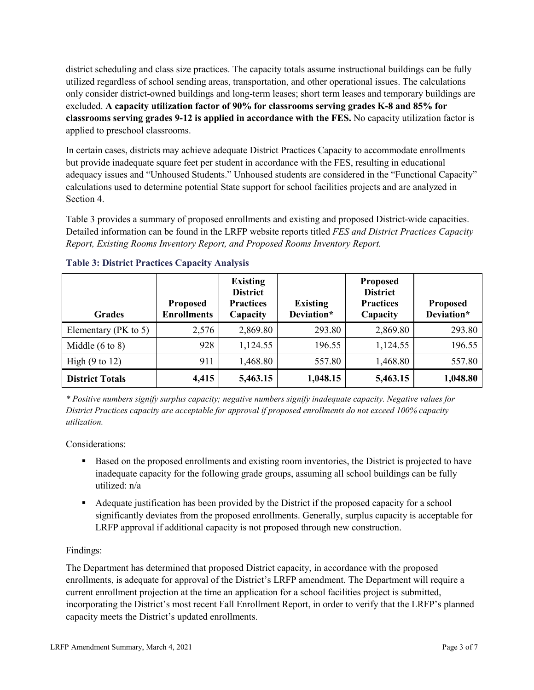district scheduling and class size practices. The capacity totals assume instructional buildings can be fully utilized regardless of school sending areas, transportation, and other operational issues. The calculations only consider district-owned buildings and long-term leases; short term leases and temporary buildings are excluded. **A capacity utilization factor of 90% for classrooms serving grades K-8 and 85% for classrooms serving grades 9-12 is applied in accordance with the FES.** No capacity utilization factor is applied to preschool classrooms.

In certain cases, districts may achieve adequate District Practices Capacity to accommodate enrollments but provide inadequate square feet per student in accordance with the FES, resulting in educational adequacy issues and "Unhoused Students." Unhoused students are considered in the "Functional Capacity" calculations used to determine potential State support for school facilities projects and are analyzed in Section 4.

Table 3 provides a summary of proposed enrollments and existing and proposed District-wide capacities. Detailed information can be found in the LRFP website reports titled *FES and District Practices Capacity Report, Existing Rooms Inventory Report, and Proposed Rooms Inventory Report.*

| <b>Grades</b>              | <b>Proposed</b><br><b>Enrollments</b> | <b>Existing</b><br><b>District</b><br><b>Practices</b><br>Capacity | <b>Existing</b><br>Deviation* | <b>Proposed</b><br><b>District</b><br><b>Practices</b><br>Capacity | <b>Proposed</b><br>Deviation* |
|----------------------------|---------------------------------------|--------------------------------------------------------------------|-------------------------------|--------------------------------------------------------------------|-------------------------------|
| Elementary ( $PK$ to 5)    | 2,576                                 | 2,869.80                                                           | 293.80                        | 2,869.80                                                           | 293.80                        |
| Middle $(6 \text{ to } 8)$ | 928                                   | 1,124.55                                                           | 196.55                        | 1,124.55                                                           | 196.55                        |
| High $(9 \text{ to } 12)$  | 911                                   | 1,468.80                                                           | 557.80                        | 1,468.80                                                           | 557.80                        |
| <b>District Totals</b>     | 4,415                                 | 5,463.15                                                           | 1,048.15                      | 5,463.15                                                           | 1,048.80                      |

# **Table 3: District Practices Capacity Analysis**

*\* Positive numbers signify surplus capacity; negative numbers signify inadequate capacity. Negative values for District Practices capacity are acceptable for approval if proposed enrollments do not exceed 100% capacity utilization.*

Considerations:

- Based on the proposed enrollments and existing room inventories, the District is projected to have inadequate capacity for the following grade groups, assuming all school buildings can be fully utilized: n/a
- Adequate justification has been provided by the District if the proposed capacity for a school significantly deviates from the proposed enrollments. Generally, surplus capacity is acceptable for LRFP approval if additional capacity is not proposed through new construction.

# Findings:

The Department has determined that proposed District capacity, in accordance with the proposed enrollments, is adequate for approval of the District's LRFP amendment. The Department will require a current enrollment projection at the time an application for a school facilities project is submitted, incorporating the District's most recent Fall Enrollment Report, in order to verify that the LRFP's planned capacity meets the District's updated enrollments.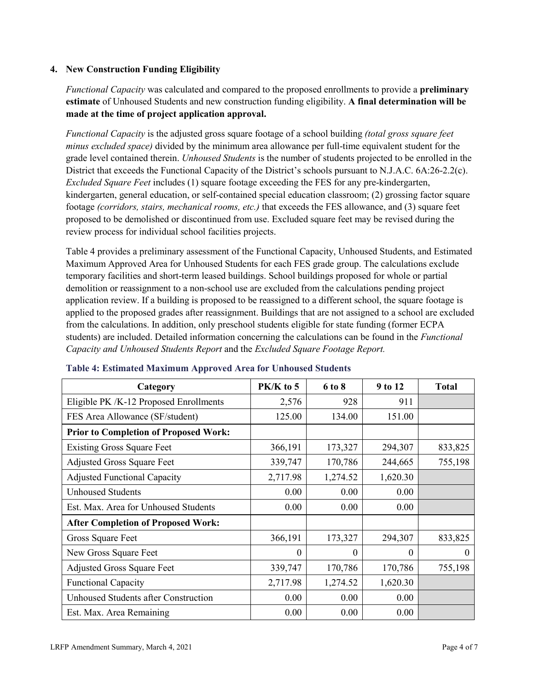# **4. New Construction Funding Eligibility**

*Functional Capacity* was calculated and compared to the proposed enrollments to provide a **preliminary estimate** of Unhoused Students and new construction funding eligibility. **A final determination will be made at the time of project application approval.**

*Functional Capacity* is the adjusted gross square footage of a school building *(total gross square feet minus excluded space)* divided by the minimum area allowance per full-time equivalent student for the grade level contained therein. *Unhoused Students* is the number of students projected to be enrolled in the District that exceeds the Functional Capacity of the District's schools pursuant to N.J.A.C. 6A:26-2.2(c). *Excluded Square Feet* includes (1) square footage exceeding the FES for any pre-kindergarten, kindergarten, general education, or self-contained special education classroom; (2) grossing factor square footage *(corridors, stairs, mechanical rooms, etc.)* that exceeds the FES allowance, and (3) square feet proposed to be demolished or discontinued from use. Excluded square feet may be revised during the review process for individual school facilities projects.

Table 4 provides a preliminary assessment of the Functional Capacity, Unhoused Students, and Estimated Maximum Approved Area for Unhoused Students for each FES grade group. The calculations exclude temporary facilities and short-term leased buildings. School buildings proposed for whole or partial demolition or reassignment to a non-school use are excluded from the calculations pending project application review. If a building is proposed to be reassigned to a different school, the square footage is applied to the proposed grades after reassignment. Buildings that are not assigned to a school are excluded from the calculations. In addition, only preschool students eligible for state funding (former ECPA students) are included. Detailed information concerning the calculations can be found in the *Functional Capacity and Unhoused Students Report* and the *Excluded Square Footage Report.*

| Category                                     | $PK/K$ to 5 | 6 to 8   | 9 to 12  | <b>Total</b> |
|----------------------------------------------|-------------|----------|----------|--------------|
| Eligible PK /K-12 Proposed Enrollments       | 2,576       | 928      | 911      |              |
| FES Area Allowance (SF/student)              | 125.00      | 134.00   | 151.00   |              |
| <b>Prior to Completion of Proposed Work:</b> |             |          |          |              |
| <b>Existing Gross Square Feet</b>            | 366,191     | 173,327  | 294,307  | 833,825      |
| <b>Adjusted Gross Square Feet</b>            | 339,747     | 170,786  | 244,665  | 755,198      |
| <b>Adjusted Functional Capacity</b>          | 2,717.98    | 1,274.52 | 1,620.30 |              |
| <b>Unhoused Students</b>                     | 0.00        | 0.00     | 0.00     |              |
| Est. Max. Area for Unhoused Students         | 0.00        | 0.00     | 0.00     |              |
| <b>After Completion of Proposed Work:</b>    |             |          |          |              |
| Gross Square Feet                            | 366,191     | 173,327  | 294,307  | 833,825      |
| New Gross Square Feet                        | $\theta$    | $\Omega$ | $\theta$ | $\theta$     |
| <b>Adjusted Gross Square Feet</b>            | 339,747     | 170,786  | 170,786  | 755,198      |
| <b>Functional Capacity</b>                   | 2,717.98    | 1,274.52 | 1,620.30 |              |
| Unhoused Students after Construction         | 0.00        | 0.00     | 0.00     |              |
| Est. Max. Area Remaining                     | 0.00        | 0.00     | 0.00     |              |

#### **Table 4: Estimated Maximum Approved Area for Unhoused Students**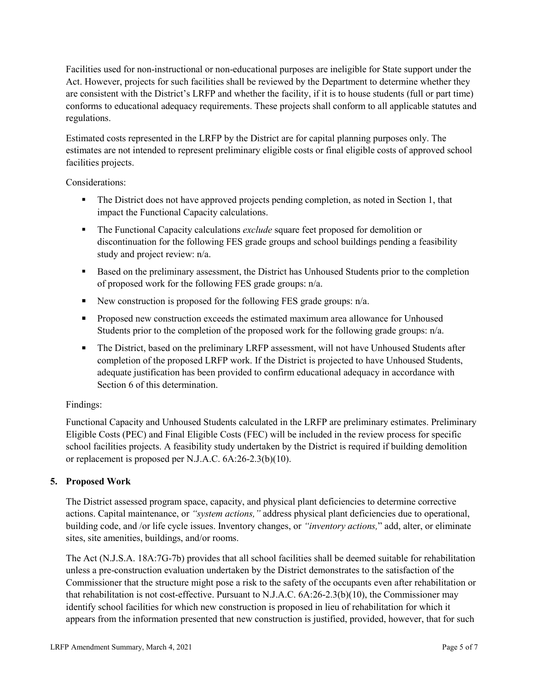Facilities used for non-instructional or non-educational purposes are ineligible for State support under the Act. However, projects for such facilities shall be reviewed by the Department to determine whether they are consistent with the District's LRFP and whether the facility, if it is to house students (full or part time) conforms to educational adequacy requirements. These projects shall conform to all applicable statutes and regulations.

Estimated costs represented in the LRFP by the District are for capital planning purposes only. The estimates are not intended to represent preliminary eligible costs or final eligible costs of approved school facilities projects.

Considerations:

- The District does not have approved projects pending completion, as noted in Section 1, that impact the Functional Capacity calculations.
- **The Functional Capacity calculations** *exclude* square feet proposed for demolition or discontinuation for the following FES grade groups and school buildings pending a feasibility study and project review: n/a.
- Based on the preliminary assessment, the District has Unhoused Students prior to the completion of proposed work for the following FES grade groups: n/a.
- New construction is proposed for the following FES grade groups: n/a.
- Proposed new construction exceeds the estimated maximum area allowance for Unhoused Students prior to the completion of the proposed work for the following grade groups: n/a.
- The District, based on the preliminary LRFP assessment, will not have Unhoused Students after completion of the proposed LRFP work. If the District is projected to have Unhoused Students, adequate justification has been provided to confirm educational adequacy in accordance with Section 6 of this determination.

# Findings:

Functional Capacity and Unhoused Students calculated in the LRFP are preliminary estimates. Preliminary Eligible Costs (PEC) and Final Eligible Costs (FEC) will be included in the review process for specific school facilities projects. A feasibility study undertaken by the District is required if building demolition or replacement is proposed per N.J.A.C. 6A:26-2.3(b)(10).

# **5. Proposed Work**

The District assessed program space, capacity, and physical plant deficiencies to determine corrective actions. Capital maintenance, or *"system actions,"* address physical plant deficiencies due to operational, building code, and /or life cycle issues. Inventory changes, or *"inventory actions,*" add, alter, or eliminate sites, site amenities, buildings, and/or rooms.

The Act (N.J.S.A. 18A:7G-7b) provides that all school facilities shall be deemed suitable for rehabilitation unless a pre-construction evaluation undertaken by the District demonstrates to the satisfaction of the Commissioner that the structure might pose a risk to the safety of the occupants even after rehabilitation or that rehabilitation is not cost-effective. Pursuant to N.J.A.C. 6A:26-2.3(b)(10), the Commissioner may identify school facilities for which new construction is proposed in lieu of rehabilitation for which it appears from the information presented that new construction is justified, provided, however, that for such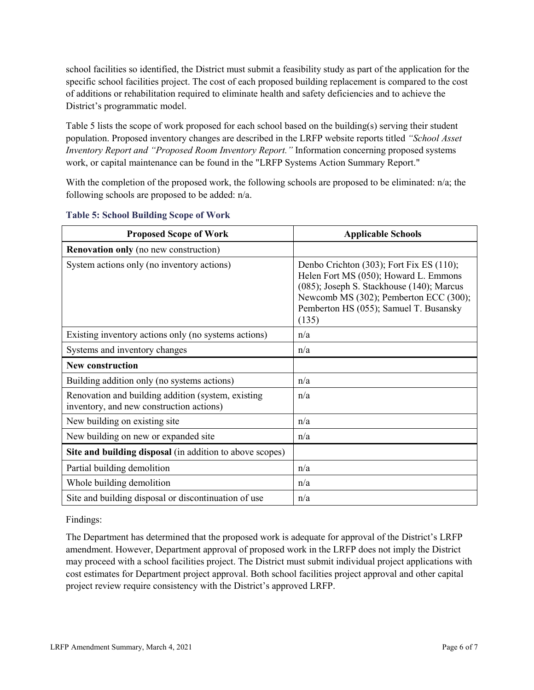school facilities so identified, the District must submit a feasibility study as part of the application for the specific school facilities project. The cost of each proposed building replacement is compared to the cost of additions or rehabilitation required to eliminate health and safety deficiencies and to achieve the District's programmatic model.

Table 5 lists the scope of work proposed for each school based on the building(s) serving their student population. Proposed inventory changes are described in the LRFP website reports titled *"School Asset Inventory Report and "Proposed Room Inventory Report."* Information concerning proposed systems work, or capital maintenance can be found in the "LRFP Systems Action Summary Report."

With the completion of the proposed work, the following schools are proposed to be eliminated:  $n/a$ ; the following schools are proposed to be added: n/a.

| <b>Proposed Scope of Work</b>                                                                  | <b>Applicable Schools</b>                                                                                                                                                                                                   |
|------------------------------------------------------------------------------------------------|-----------------------------------------------------------------------------------------------------------------------------------------------------------------------------------------------------------------------------|
| <b>Renovation only</b> (no new construction)                                                   |                                                                                                                                                                                                                             |
| System actions only (no inventory actions)                                                     | Denbo Crichton (303); Fort Fix ES (110);<br>Helen Fort MS (050); Howard L. Emmons<br>(085); Joseph S. Stackhouse (140); Marcus<br>Newcomb MS (302); Pemberton ECC (300);<br>Pemberton HS (055); Samuel T. Busansky<br>(135) |
| Existing inventory actions only (no systems actions)                                           | n/a                                                                                                                                                                                                                         |
| Systems and inventory changes                                                                  | n/a                                                                                                                                                                                                                         |
| <b>New construction</b>                                                                        |                                                                                                                                                                                                                             |
| Building addition only (no systems actions)                                                    | n/a                                                                                                                                                                                                                         |
| Renovation and building addition (system, existing<br>inventory, and new construction actions) | n/a                                                                                                                                                                                                                         |
| New building on existing site                                                                  | n/a                                                                                                                                                                                                                         |
| New building on new or expanded site                                                           | n/a                                                                                                                                                                                                                         |
| Site and building disposal (in addition to above scopes)                                       |                                                                                                                                                                                                                             |
| Partial building demolition                                                                    | n/a                                                                                                                                                                                                                         |
| Whole building demolition                                                                      | n/a                                                                                                                                                                                                                         |
| Site and building disposal or discontinuation of use                                           | n/a                                                                                                                                                                                                                         |

#### **Table 5: School Building Scope of Work**

Findings:

The Department has determined that the proposed work is adequate for approval of the District's LRFP amendment. However, Department approval of proposed work in the LRFP does not imply the District may proceed with a school facilities project. The District must submit individual project applications with cost estimates for Department project approval. Both school facilities project approval and other capital project review require consistency with the District's approved LRFP.